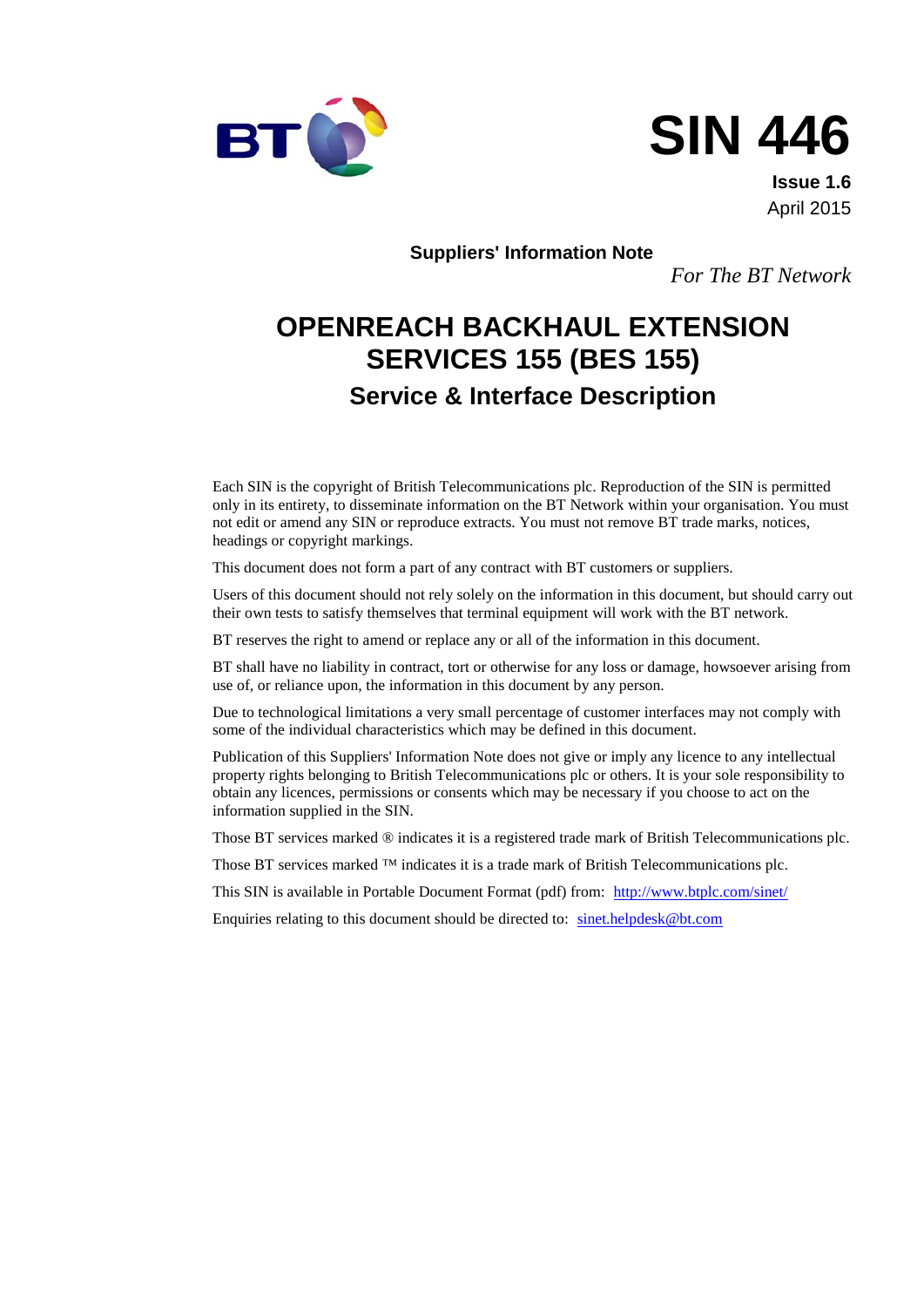

# **SIN 446**

**Issue 1.6** April 2015

**Suppliers' Information Note** 

*For The BT Network*

# **OPENREACH BACKHAUL EXTENSION SERVICES 155 (BES 155) Service & Interface Description**

Each SIN is the copyright of British Telecommunications plc. Reproduction of the SIN is permitted only in its entirety, to disseminate information on the BT Network within your organisation. You must not edit or amend any SIN or reproduce extracts. You must not remove BT trade marks, notices, headings or copyright markings.

This document does not form a part of any contract with BT customers or suppliers.

Users of this document should not rely solely on the information in this document, but should carry out their own tests to satisfy themselves that terminal equipment will work with the BT network.

BT reserves the right to amend or replace any or all of the information in this document.

BT shall have no liability in contract, tort or otherwise for any loss or damage, howsoever arising from use of, or reliance upon, the information in this document by any person.

Due to technological limitations a very small percentage of customer interfaces may not comply with some of the individual characteristics which may be defined in this document.

Publication of this Suppliers' Information Note does not give or imply any licence to any intellectual property rights belonging to British Telecommunications plc or others. It is your sole responsibility to obtain any licences, permissions or consents which may be necessary if you choose to act on the information supplied in the SIN.

Those BT services marked ® indicates it is a registered trade mark of British Telecommunications plc.

Those BT services marked  $TM$  indicates it is a trade mark of British Telecommunications plc.

This SIN is available in Portable Document Format (pdf) from: <http://www.btplc.com/sinet/>

Enquiries relating to this document should be directed to: [sinet.helpdesk@bt.com](mailto:sinet.helpdesk@bt.com)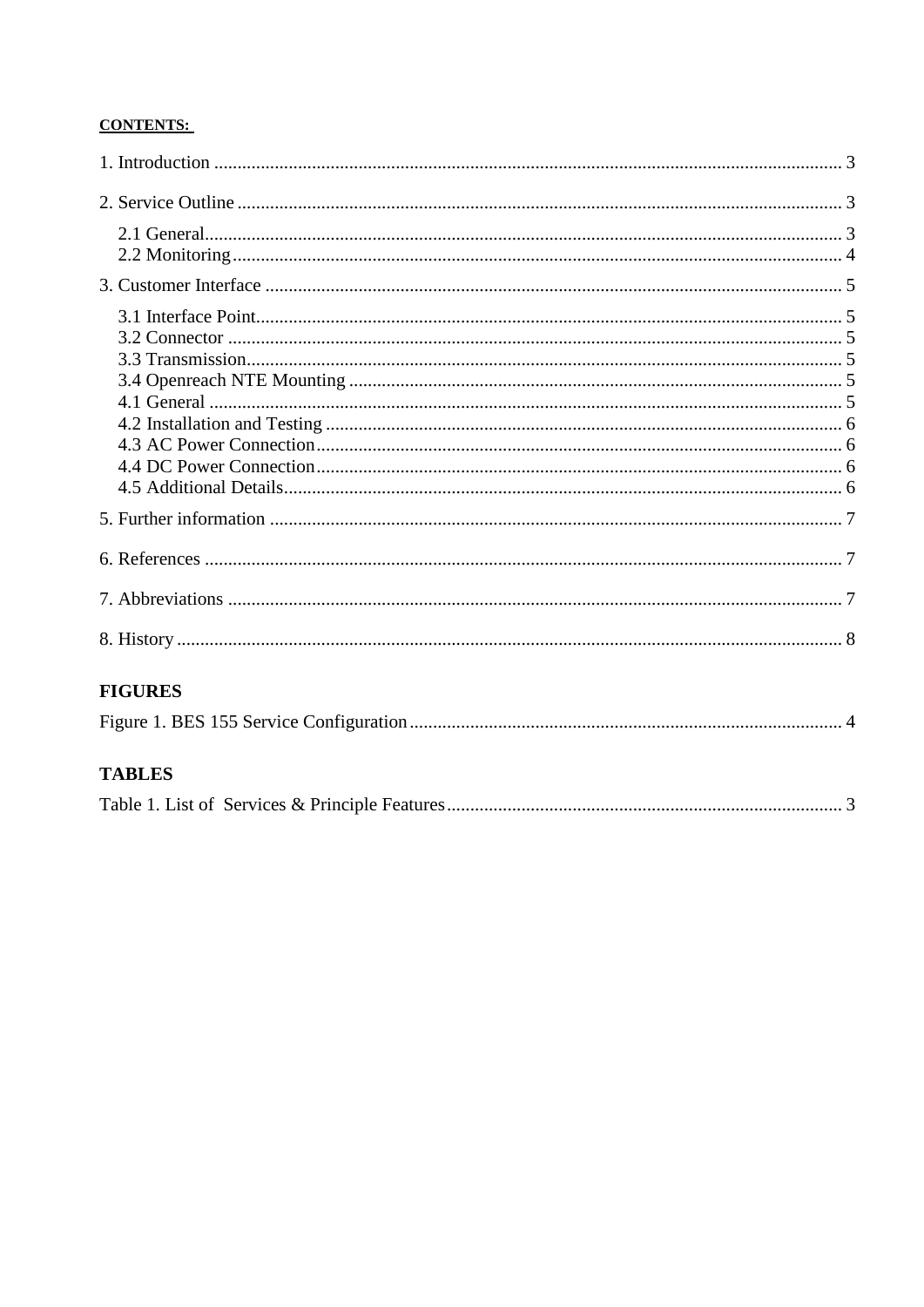#### **CONTENTS:**

| <b>FIGURES</b> |  |
|----------------|--|
|                |  |
|                |  |
|                |  |
|                |  |
|                |  |
|                |  |
|                |  |
|                |  |
|                |  |
|                |  |
|                |  |
|                |  |
|                |  |
|                |  |
|                |  |

#### **TABLES**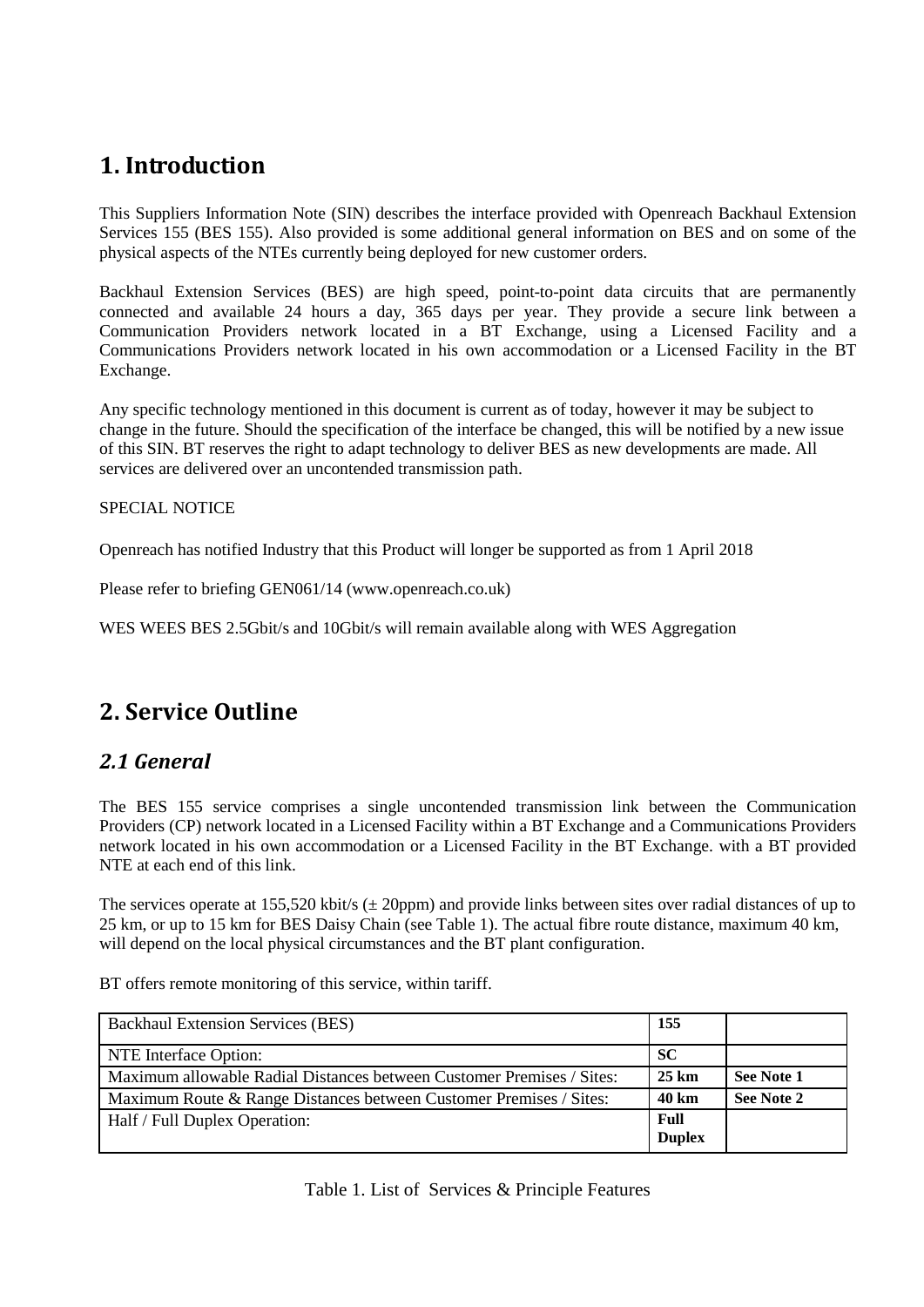## <span id="page-2-0"></span>**1. Introduction**

This Suppliers Information Note (SIN) describes the interface provided with Openreach Backhaul Extension Services 155 (BES 155). Also provided is some additional general information on BES and on some of the physical aspects of the NTEs currently being deployed for new customer orders.

Backhaul Extension Services (BES) are high speed, point-to-point data circuits that are permanently connected and available 24 hours a day, 365 days per year. They provide a secure link between a Communication Providers network located in a BT Exchange, using a Licensed Facility and a Communications Providers network located in his own accommodation or a Licensed Facility in the BT Exchange.

Any specific technology mentioned in this document is current as of today, however it may be subject to change in the future. Should the specification of the interface be changed, this will be notified by a new issue of this SIN. BT reserves the right to adapt technology to deliver BES as new developments are made. All services are delivered over an uncontended transmission path.

#### SPECIAL NOTICE

Openreach has notified Industry that this Product will longer be supported as from 1 April 2018

Please refer to briefing GEN061/14 (www.openreach.co.uk)

WES WEES BES 2.5Gbit/s and 10Gbit/s will remain available along with WES Aggregation

## <span id="page-2-1"></span>**2. Service Outline**

## <span id="page-2-2"></span>*2.1 General*

The BES 155 service comprises a single uncontended transmission link between the Communication Providers (CP) network located in a Licensed Facility within a BT Exchange and a Communications Providers network located in his own accommodation or a Licensed Facility in the BT Exchange. with a BT provided NTE at each end of this link.

The services operate at 155,520 kbit/s ( $\pm$  20ppm) and provide links between sites over radial distances of up to 25 km, or up to 15 km for BES Daisy Chain (see Table 1). The actual fibre route distance, maximum 40 km, will depend on the local physical circumstances and the BT plant configuration.

<span id="page-2-3"></span>Backhaul Extension Services (BES) **155** NTE Interface Option: **SC** Maximum allowable Radial Distances between Customer Premises / Sites: 25 km See Note 1 Maximum Route & Range Distances between Customer Premises / Sites: **40 km See Note 2** Half / Full Duplex Operation: **Full Duplex**

BT offers remote monitoring of this service, within tariff.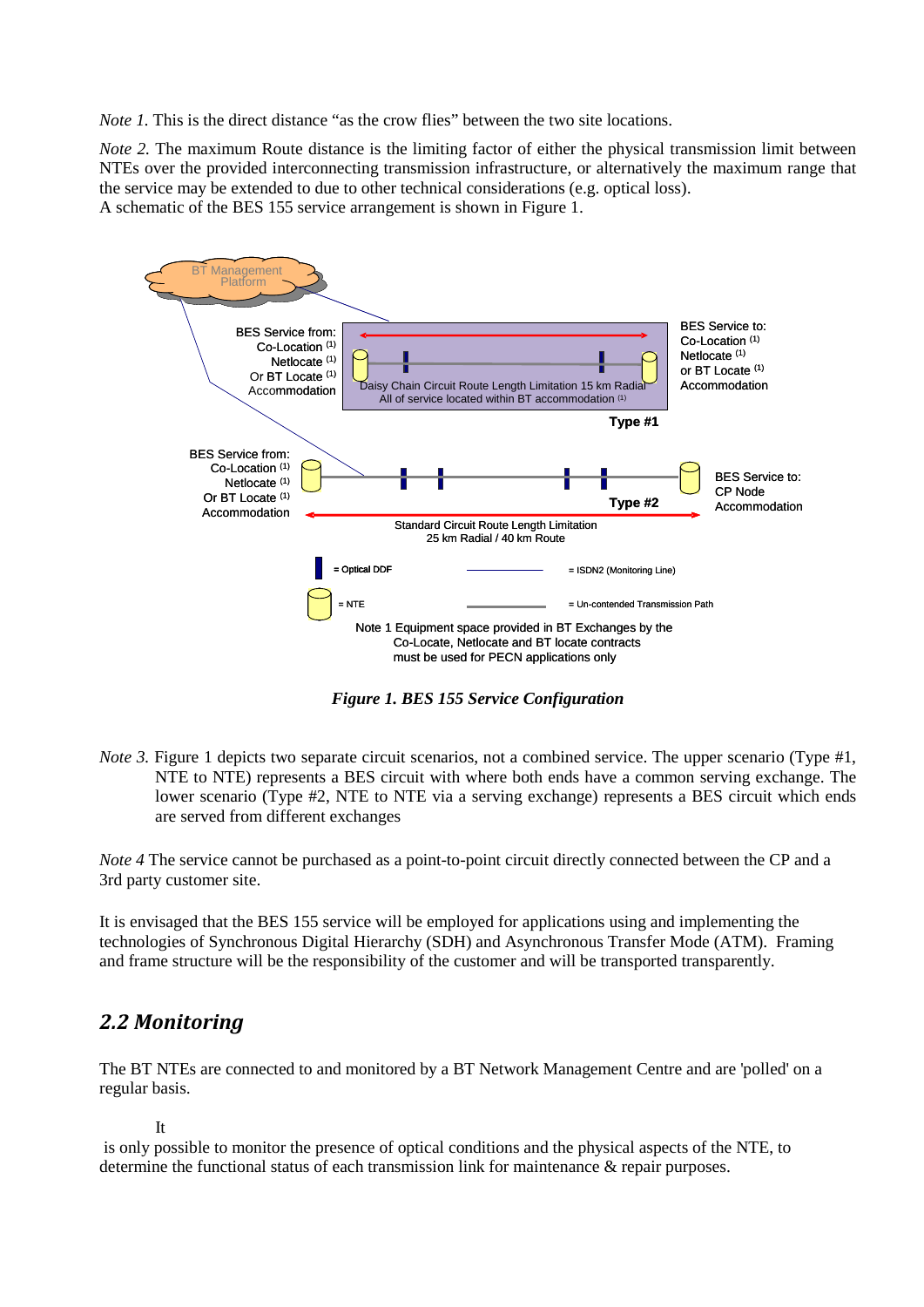*Note 1.* This is the direct distance "as the crow flies" between the two site locations.

*Note 2.* The maximum Route distance is the limiting factor of either the physical transmission limit between NTEs over the provided interconnecting transmission infrastructure, or alternatively the maximum range that the service may be extended to due to other technical considerations (e.g. optical loss). A schematic of the BES 155 service arrangement is shown in Figure 1.



*Figure 1. BES 155 Service Configuration*

<span id="page-3-1"></span>*Note 3.* Figure 1 depicts two separate circuit scenarios, not a combined service. The upper scenario (Type #1, NTE to NTE) represents a BES circuit with where both ends have a common serving exchange. The lower scenario (Type #2, NTE to NTE via a serving exchange) represents a BES circuit which ends are served from different exchanges

*Note 4* The service cannot be purchased as a point-to-point circuit directly connected between the CP and a 3rd party customer site.

It is envisaged that the BES 155 service will be employed for applications using and implementing the technologies of Synchronous Digital Hierarchy (SDH) and Asynchronous Transfer Mode (ATM). Framing and frame structure will be the responsibility of the customer and will be transported transparently.

#### <span id="page-3-0"></span>*2.2 Monitoring*

The BT NTEs are connected to and monitored by a BT Network Management Centre and are 'polled' on a regular basis.

```
It
```
is only possible to monitor the presence of optical conditions and the physical aspects of the NTE, to determine the functional status of each transmission link for maintenance & repair purposes.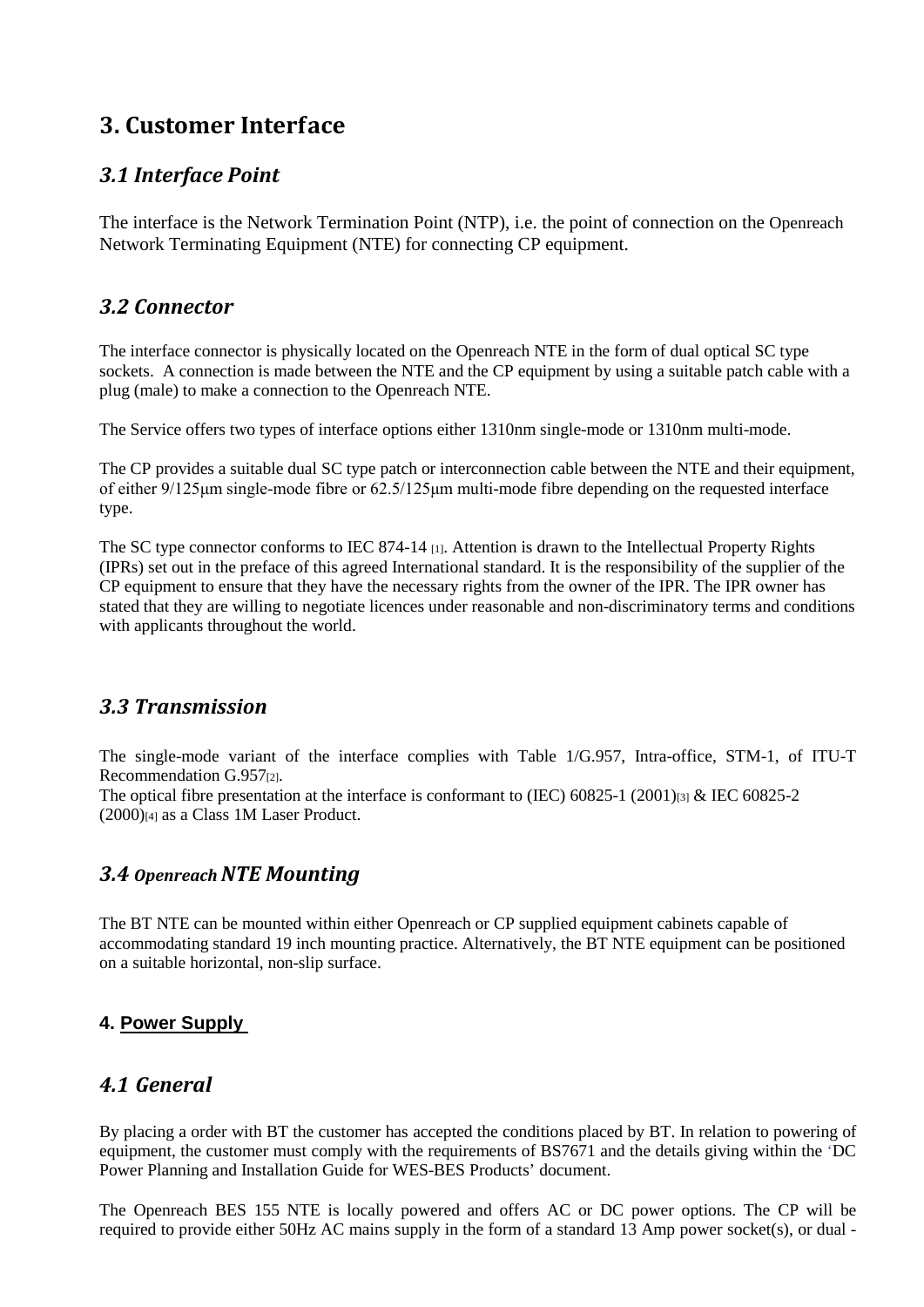## <span id="page-4-0"></span>**3. Customer Interface**

#### <span id="page-4-1"></span>*3.1 Interface Point*

The interface is the Network Termination Point (NTP), i.e. the point of connection on the Openreach Network Terminating Equipment (NTE) for connecting CP equipment.

#### <span id="page-4-2"></span>*3.2 Connector*

The interface connector is physically located on the Openreach NTE in the form of dual optical SC type sockets. A connection is made between the NTE and the CP equipment by using a suitable patch cable with a plug (male) to make a connection to the Openreach NTE.

The Service offers two types of interface options either 1310nm single-mode or 1310nm multi-mode.

The CP provides a suitable dual SC type patch or interconnection cable between the NTE and their equipment, of either 9/125μm single-mode fibre or 62.5/125μm multi-mode fibre depending on the requested interface type.

The SC type connector conforms to IEC 874-14 [1]. Attention is drawn to the Intellectual Property Rights (IPRs) set out in the preface of this agreed International standard. It is the responsibility of the supplier of the CP equipment to ensure that they have the necessary rights from the owner of the IPR. The IPR owner has stated that they are willing to negotiate licences under reasonable and non-discriminatory terms and conditions with applicants throughout the world.

#### <span id="page-4-3"></span>*3.3 Transmission*

The single-mode variant of the interface complies with Table 1/G.957, Intra-office, STM-1, of ITU-T Recommendation G.957<sup>[2]</sup>.

The optical fibre presentation at the interface is conformant to (IEC)  $60825-1$  (2001) $_{[3]}$  & IEC 60825-2  $(2000)$ [4] as a Class 1M Laser Product.

#### <span id="page-4-4"></span>*3.4 Openreach NTE Mounting*

The BT NTE can be mounted within either Openreach or CP supplied equipment cabinets capable of accommodating standard 19 inch mounting practice. Alternatively, the BT NTE equipment can be positioned on a suitable horizontal, non-slip surface.

#### **4. Power Supply**

#### <span id="page-4-5"></span>*4.1 General*

By placing a order with BT the customer has accepted the conditions placed by BT. In relation to powering of equipment, the customer must comply with the requirements of BS7671 and the details giving within the 'DC Power Planning and Installation Guide for WES-BES Products' document.

The Openreach BES 155 NTE is locally powered and offers AC or DC power options. The CP will be required to provide either 50Hz AC mains supply in the form of a standard 13 Amp power socket(s), or dual -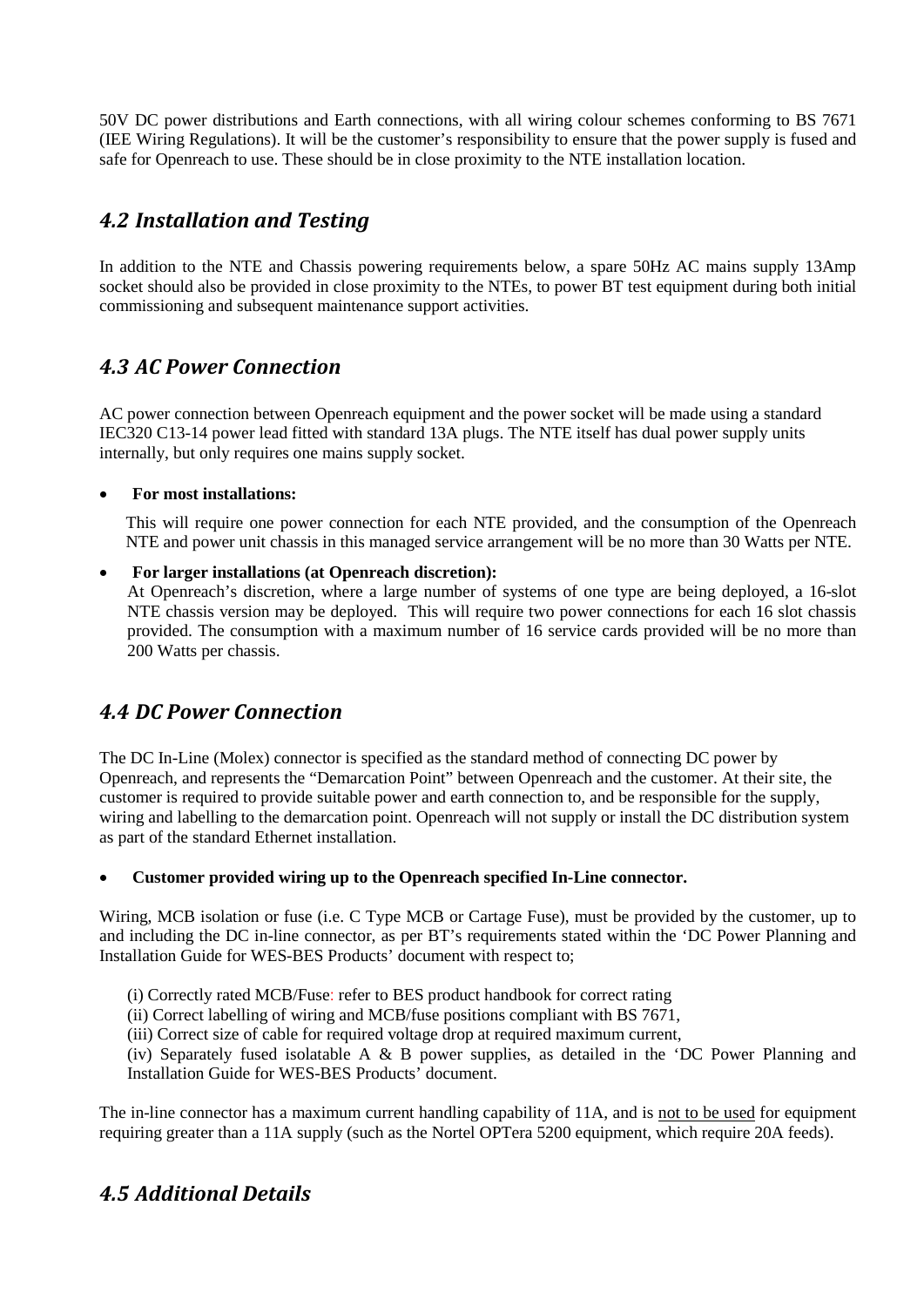50V DC power distributions and Earth connections, with all wiring colour schemes conforming to BS 7671 (IEE Wiring Regulations). It will be the customer's responsibility to ensure that the power supply is fused and safe for Openreach to use. These should be in close proximity to the NTE installation location.

## <span id="page-5-0"></span>*4.2 Installation and Testing*

In addition to the NTE and Chassis powering requirements below, a spare 50Hz AC mains supply 13Amp socket should also be provided in close proximity to the NTEs, to power BT test equipment during both initial commissioning and subsequent maintenance support activities.

## <span id="page-5-1"></span>*4.3 AC Power Connection*

AC power connection between Openreach equipment and the power socket will be made using a standard IEC320 C13-14 power lead fitted with standard 13A plugs. The NTE itself has dual power supply units internally, but only requires one mains supply socket.

#### • **For most installations:**

This will require one power connection for each NTE provided, and the consumption of the Openreach NTE and power unit chassis in this managed service arrangement will be no more than 30 Watts per NTE.

#### • **For larger installations (at Openreach discretion):**

At Openreach's discretion, where a large number of systems of one type are being deployed, a 16-slot NTE chassis version may be deployed. This will require two power connections for each 16 slot chassis provided. The consumption with a maximum number of 16 service cards provided will be no more than 200 Watts per chassis.

## <span id="page-5-2"></span>*4.4 DC Power Connection*

The DC In-Line (Molex) connector is specified as the standard method of connecting DC power by Openreach, and represents the "Demarcation Point" between Openreach and the customer. At their site, the customer is required to provide suitable power and earth connection to, and be responsible for the supply, wiring and labelling to the demarcation point. Openreach will not supply or install the DC distribution system as part of the standard Ethernet installation.

#### • **Customer provided wiring up to the Openreach specified In-Line connector.**

Wiring, MCB isolation or fuse (i.e. C Type MCB or Cartage Fuse), must be provided by the customer, up to and including the DC in-line connector, as per BT's requirements stated within the 'DC Power Planning and Installation Guide for WES-BES Products' document with respect to;

- (i) Correctly rated MCB/Fuse: refer to BES product handbook for correct rating
- (ii) Correct labelling of wiring and MCB/fuse positions compliant with BS 7671,
- (iii) Correct size of cable for required voltage drop at required maximum current,

(iv) Separately fused isolatable A & B power supplies, as detailed in the 'DC Power Planning and Installation Guide for WES-BES Products' document.

The in-line connector has a maximum current handling capability of 11A, and is not to be used for equipment requiring greater than a 11A supply (such as the Nortel OPTera 5200 equipment, which require 20A feeds).

## <span id="page-5-3"></span>*4.5 Additional Details*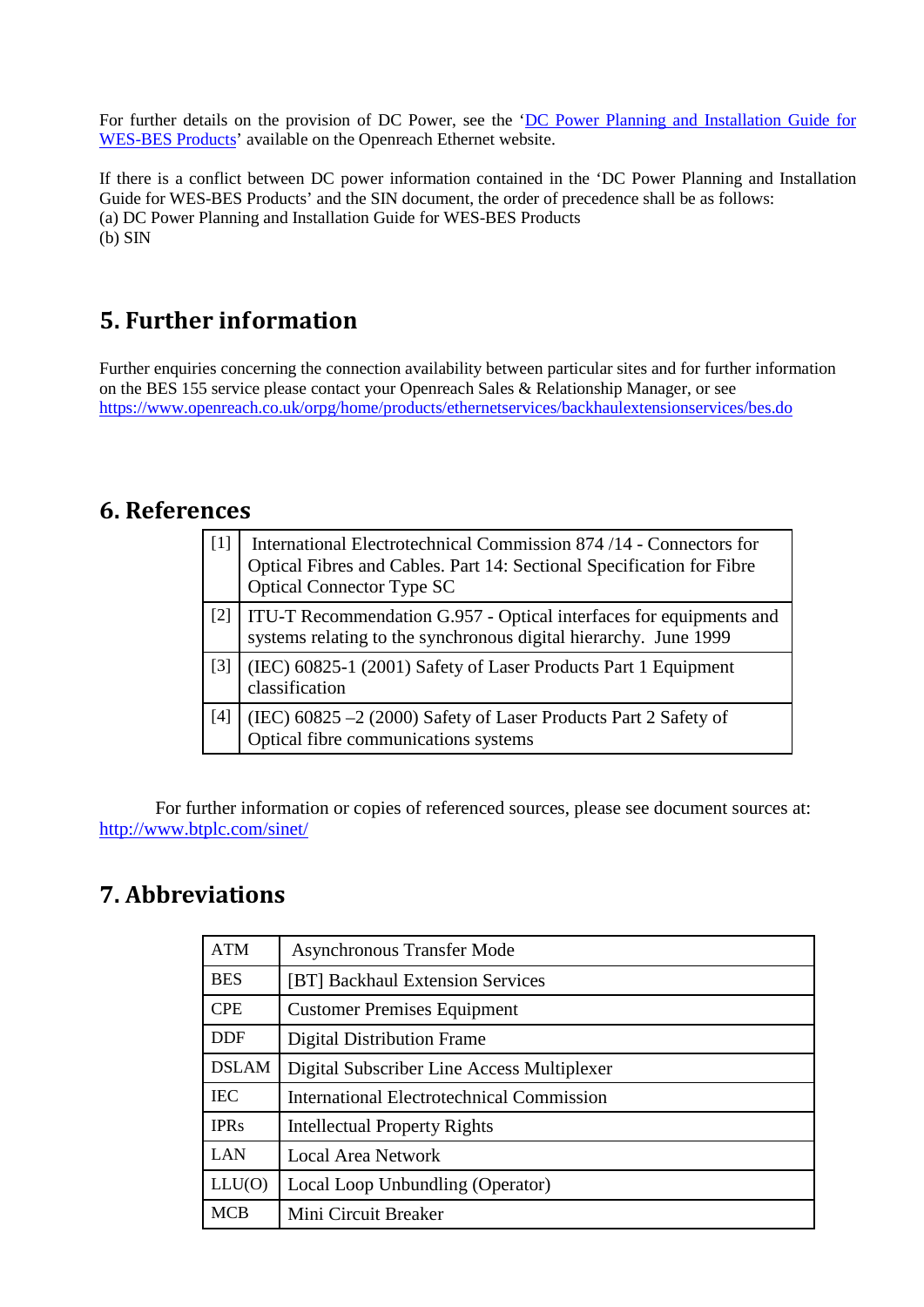For further details on the provision of DC Power, see the 'DC Power Planning and Installation Guide for [WES-BES Products'](https://www.openreach.co.uk/orpg/home/newlogin.do?smauthreason=0&target=http%3A%2F%2Fwww.openreach.co.uk%2Forpg%2Fcustomerzone%2Fproducts%2Fethernetservices%2Fethernetaccessdirect%2Fdescription%2Fsupplementaryinformation%2Fsupplementaryinfo.do&fromMasterHead=1) available on the Openreach Ethernet website.

If there is a conflict between DC power information contained in the 'DC Power Planning and Installation Guide for WES-BES Products' and the SIN document, the order of precedence shall be as follows: (a) DC Power Planning and Installation Guide for WES-BES Products (b) SIN

## <span id="page-6-0"></span>**5. Further information**

Further enquiries concerning the connection availability between particular sites and for further information on the BES 155 service please contact your Openreach Sales & Relationship Manager, or see <https://www.openreach.co.uk/orpg/home/products/ethernetservices/backhaulextensionservices/bes.do>

## <span id="page-6-1"></span>**6. References**

| $[1]$             | International Electrotechnical Commission 874 /14 - Connectors for<br>Optical Fibres and Cables. Part 14: Sectional Specification for Fibre<br><b>Optical Connector Type SC</b> |
|-------------------|---------------------------------------------------------------------------------------------------------------------------------------------------------------------------------|
| $[2]$             | ITU-T Recommendation G.957 - Optical interfaces for equipments and<br>systems relating to the synchronous digital hierarchy. June 1999                                          |
| $\lceil 3 \rceil$ | (IEC) 60825-1 (2001) Safety of Laser Products Part 1 Equipment<br>classification                                                                                                |
| [4]               | (IEC) 60825 -2 (2000) Safety of Laser Products Part 2 Safety of<br>Optical fibre communications systems                                                                         |

For further information or copies of referenced sources, please see document sources at: <http://www.btplc.com/sinet/>

## <span id="page-6-2"></span>**7. Abbreviations**

| <b>ATM</b>   | <b>Asynchronous Transfer Mode</b>                |  |  |
|--------------|--------------------------------------------------|--|--|
| <b>BES</b>   | [BT] Backhaul Extension Services                 |  |  |
| <b>CPE</b>   | <b>Customer Premises Equipment</b>               |  |  |
| <b>DDF</b>   | <b>Digital Distribution Frame</b>                |  |  |
| <b>DSLAM</b> | Digital Subscriber Line Access Multiplexer       |  |  |
| <b>IEC</b>   | <b>International Electrotechnical Commission</b> |  |  |
| <b>IPRs</b>  | <b>Intellectual Property Rights</b>              |  |  |
| <b>LAN</b>   | <b>Local Area Network</b>                        |  |  |
| LLU(0)       | Local Loop Unbundling (Operator)                 |  |  |
| <b>MCB</b>   | Mini Circuit Breaker                             |  |  |